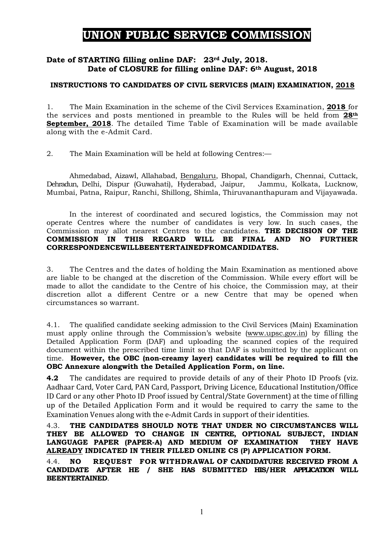# UNION PUBLIC SERVICE COMMISSION

## Date of STARTING filling online DAF: 23rd July, 2018. Date of CLOSURE for filling online DAF: 6th August, 2018

### INSTRUCTIONS TO CANDIDATES OF CIVIL SERVICES (MAIN) EXAMINATION, 2018

1. The Main Examination in the scheme of the Civil Services Examination, 2018 for the services and posts mentioned in preamble to the Rules will be held from 28th September, 2018. The detailed Time Table of Examination will be made available along with the e-Admit Card.

2. The Main Examination will be held at following Centres:—

Ahmedabad, Aizawl, Allahabad, Bengaluru, Bhopal, Chandigarh, Chennai, Cuttack, Dehradun, Delhi, Dispur (Guwahati), Hyderabad, Jaipur, Jammu, Kolkata, Lucknow, Mumbai, Patna, Raipur, Ranchi, Shillong, Shimla, Thiruvananthapuram and Vijayawada.

In the interest of coordinated and secured logistics, the Commission may not operate Centres where the number of candidates is very low. In such cases, the Commission may allot nearest Centres to the candidates. THE DECISION OF THE COMMISSION IN THIS REGARD WILL BE FINAL AND NO FURTHER CORRESPONDENCEWILLBEENTERTAINEDFROMCANDIDATES.

3. The Centres and the dates of holding the Main Examination as mentioned above are liable to be changed at the discretion of the Commission. While every effort will be made to allot the candidate to the Centre of his choice, the Commission may, at their discretion allot a different Centre or a new Centre that may be opened when circumstances so warrant.

4.1. The qualified candidate seeking admission to the Civil Services (Main) Examination must apply online through the Commission's website (www.upsc.gov.in) by filling the Detailed Application Form (DAF) and uploading the scanned copies of the required document within the prescribed time limit so that DAF is submitted by the applicant on time. However, the OBC (non-creamy layer) candidates will be required to fill the OBC Annexure alongwith the Detailed Application Form, on line.

4.2 The candidates are required to provide details of any of their Photo ID Proofs (viz. Aadhaar Card, Voter Card, PAN Card, Passport, Driving Licence, Educational Institution/Office ID Card or any other Photo ID Proof issued by Central/State Government) at the time of filling up of the Detailed Application Form and it would be required to carry the same to the Examination Venues along with the e-Admit Cards in support of their identities.

4.3. THE CANDIDATES SHOULD NOTE THAT UNDER NO CIRCUMSTANCES WILL THEY BE ALLOWED TO CHANGE IN CENTRE, OPTIONAL SUBJECT, INDIAN LANGUAGE PAPER (PAPER-A) AND MEDIUM OF EXAMINATION THEY HAVE ALREADY INDICATED IN THEIR FILLED ONLINE CS (P) APPLICATION FORM.

4.4. NO REQUEST FOR WITHDRAWAL OF CANDIDATURE RECEIVED FROM A CANDIDATE AFTER HE / SHE HAS SUBMITTED HIS/HER APPLICATION WILL BEENTERTAINED.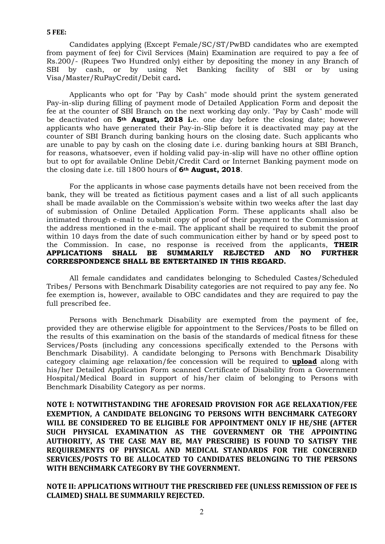Candidates applying (Except Female/SC/ST/PwBD candidates who are exempted from payment of fee) for Civil Services (Main) Examination are required to pay a fee of Rs.200/- (Rupees Two Hundred only) either by depositing the money in any Branch of SBI by cash, or by using Net Banking facility of SBI or by using Visa/Master/RuPayCredit/Debit card.

Applicants who opt for "Pay by Cash" mode should print the system generated Pay-in-slip during filling of payment mode of Detailed Application Form and deposit the fee at the counter of SBI Branch on the next working day only. "Pay by Cash" mode will be deactivated on 5<sup>th</sup> August, 2018 i.e. one day before the closing date; however applicants who have generated their Pay-in-Slip before it is deactivated may pay at the counter of SBI Branch during banking hours on the closing date. Such applicants who are unable to pay by cash on the closing date i.e. during banking hours at SBI Branch, for reasons, whatsoever, even if holding valid pay-in-slip will have no other offline option but to opt for available Online Debit/Credit Card or Internet Banking payment mode on the closing date i.e. till 1800 hours of 6th August, 2018.

For the applicants in whose case payments details have not been received from the bank, they will be treated as fictitious payment cases and a list of all such applicants shall be made available on the Commission's website within two weeks after the last day of submission of Online Detailed Application Form. These applicants shall also be intimated through e-mail to submit copy of proof of their payment to the Commission at the address mentioned in the e-mail. The applicant shall be required to submit the proof within 10 days from the date of such communication either by hand or by speed post to the Commission. In case, no response is received from the applicants, THEIR APPLICATIONS SHALL BE SUMMARILY REJECTED AND NO FURTHER CORRESPONDENCE SHALL BE ENTERTAINED IN THIS REGARD.

All female candidates and candidates belonging to Scheduled Castes/Scheduled Tribes/ Persons with Benchmark Disability categories are not required to pay any fee. No fee exemption is, however, available to OBC candidates and they are required to pay the full prescribed fee.

Persons with Benchmark Disability are exempted from the payment of fee, provided they are otherwise eligible for appointment to the Services/Posts to be filled on the results of this examination on the basis of the standards of medical fitness for these Services/Posts (including any concessions specifically extended to the Persons with Benchmark Disability). A candidate belonging to Persons with Benchmark Disability category claiming age relaxation/fee concession will be required to upload along with his/her Detailed Application Form scanned Certificate of Disability from a Government Hospital/Medical Board in support of his/her claim of belonging to Persons with Benchmark Disability Category as per norms.

NOTE I: NOTWITHSTANDING THE AFORESAID PROVISION FOR AGE RELAXATION/FEE EXEMPTION, A CANDIDATE BELONGING TO PERSONS WITH BENCHMARK CATEGORY WILL BE CONSIDERED TO BE ELIGIBLE FOR APPOINTMENT ONLY IF HE/SHE (AFTER SUCH PHYSICAL EXAMINATION AS THE GOVERNMENT OR THE APPOINTING AUTHORITY, AS THE CASE MAY BE, MAY PRESCRIBE) IS FOUND TO SATISFY THE REQUIREMENTS OF PHYSICAL AND MEDICAL STANDARDS FOR THE CONCERNED SERVICES/POSTS TO BE ALLOCATED TO CANDIDATES BELONGING TO THE PERSONS WITH BENCHMARK CATEGORY BY THE GOVERNMENT.

NOTE II: APPLICATIONS WITHOUT THE PRESCRIBED FEE (UNLESS REMISSION OF FEE IS CLAIMED) SHALL BE SUMMARILY REJECTED.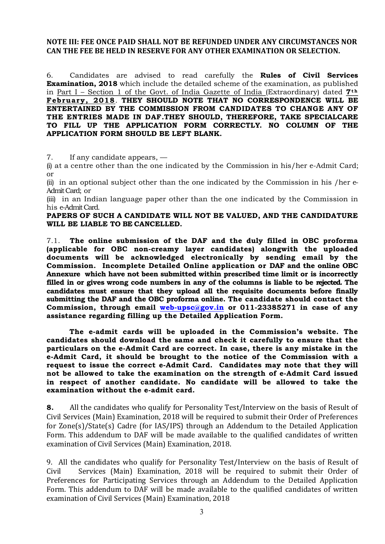#### NOTE III: FEE ONCE PAID SHALL NOT BE REFUNDED UNDER ANY CIRCUMSTANCES NOR CAN THE FEE BE HELD IN RESERVE FOR ANY OTHER EXAMINATION OR SELECTION.

6. Candidates are advised to read carefully the Rules of Civil Services Examination, 2018 which include the detailed scheme of the examination, as published in Part I – Section 1 of the Govt. of India Gazette of India (Extraordinary) dated  $7<sup>th</sup>$ February, 2018. THEY SHOULD NOTE THAT NO CORRESPONDENCE WILL BE ENTERTAINED BY THE COMMISSION FROM CANDIDATES TO CHANGE ANY OF THE ENTRIES MADE IN DAF.THEY SHOULD, THEREFORE, TAKE SPECIALCARE TO FILL UP THE APPLICATION FORM CORRECTLY. NO COLUMN OF THE APPLICATION FORM SHOULD BE LEFT BLANK.

7. If any candidate appears, —

(i) at a centre other than the one indicated by the Commission in his/her e-Admit Card; or

(ii) in an optional subject other than the one indicated by the Commission in his /her e-Admit Card; or

(iii) in an Indian language paper other than the one indicated by the Commission in his e-Admit Card.

PAPERS OF SUCH A CANDIDATE WILL NOT BE VALUED, AND THE CANDIDATURE WILL BE LIABLE TO BE CANCELLED.

7.1. The online submission of the DAF and the duly filled in OBC proforma (applicable for OBC non-creamy layer candidates) alongwith the uploaded documents will be acknowledged electronically by sending email by the Commission. Incomplete Detailed Online application or DAF and the online OBC Annexure which have not been submitted within prescribed time limit or is incorrectly filled in or gives wrong code numbers in any of the columns is liable to be rejected. The candidates must ensure that they upload all the requisite documents before finally submitting the DAF and the OBC proforma online. The candidate should contact the Commission, through email web-upsc@gov.in or 011-23385271 in case of any assistance regarding filling up the Detailed Application Form.

The e-admit cards will be uploaded in the Commission's website. The candidates should download the same and check it carefully to ensure that the particulars on the e-Admit Card are correct. In case, there is any mistake in the e-Admit Card, it should be brought to the notice of the Commission with a request to issue the correct e-Admit Card. Candidates may note that they will not be allowed to take the examination on the strength of e-Admit Card issued in respect of another candidate. No candidate will be allowed to take the examination without the e-admit card.

8. All the candidates who qualify for Personality Test/Interview on the basis of Result of Civil Services (Main) Examination, 2018 will be required to submit their Order of Preferences for Zone(s)/State(s) Cadre (for IAS/IPS) through an Addendum to the Detailed Application Form. This addendum to DAF will be made available to the qualified candidates of written examination of Civil Services (Main) Examination, 2018.

9. All the candidates who qualify for Personality Test/Interview on the basis of Result of Civil Services (Main) Examination, 2018 will be required to submit their Order of Preferences for Participating Services through an Addendum to the Detailed Application Form. This addendum to DAF will be made available to the qualified candidates of written examination of Civil Services (Main) Examination, 2018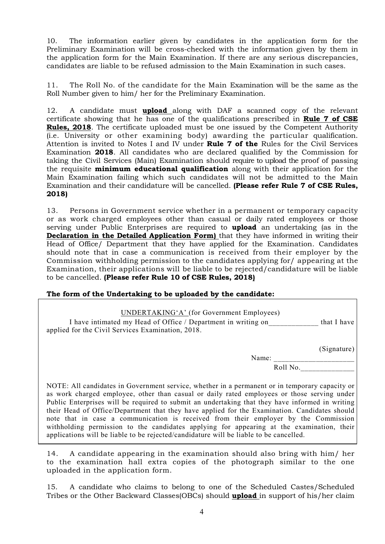10. The information earlier given by candidates in the application form for the Preliminary Examination will be cross-checked with the information given by them in the application form for the Main Examination. If there are any serious discrepancies, candidates are liable to be refused admission to the Main Examination in such cases.

The Roll No. of the candidate for the Main Examination will be the same as the Roll Number given to him/ her for the Preliminary Examination.

12. A candidate must **upload** along with DAF a scanned copy of the relevant certificate showing that he has one of the qualifications prescribed in Rule 7 of CSE Rules, 2018. The certificate uploaded must be one issued by the Competent Authority (i.e. University or other examining body) awarding the particular qualification. Attention is invited to Notes I and IV under Rule 7 of the Rules for the Civil Services Examination 2018. All candidates who are declared qualified by the Commission for taking the Civil Services (Main) Examination should require to upload the proof of passing the requisite **minimum educational qualification** along with their application for the Main Examination failing which such candidates will not be admitted to the Main Examination and their candidature will be cancelled. (Please refer Rule 7 of CSE Rules, 2018)

13. Persons in Government service whether in a permanent or temporary capacity or as work charged employees other than casual or daily rated employees or those serving under Public Enterprises are required to **upload** an undertaking (as in the Declaration in the Detailed Application Form) that they have informed in writing their Head of Office/ Department that they have applied for the Examination. Candidates should note that in case a communication is received from their employer by the Commission withholding permission to the candidates applying for/ appearing at the Examination, their applications will be liable to be rejected/candidature will be liable to be cancelled. (Please refer Rule 10 of CSE Rules, 2018)

#### The form of the Undertaking to be uploaded by the candidate:

| <b>UNDERTAKING'A'</b> (for Government Employees)<br>I have intimated my Head of Office / Department in writing on<br>applied for the Civil Services Examination, 2018.                                                                                                                                                                                                                                                                                                                                                                                                                                                                                                          | that I have |
|---------------------------------------------------------------------------------------------------------------------------------------------------------------------------------------------------------------------------------------------------------------------------------------------------------------------------------------------------------------------------------------------------------------------------------------------------------------------------------------------------------------------------------------------------------------------------------------------------------------------------------------------------------------------------------|-------------|
|                                                                                                                                                                                                                                                                                                                                                                                                                                                                                                                                                                                                                                                                                 | (Signature) |
| Name:                                                                                                                                                                                                                                                                                                                                                                                                                                                                                                                                                                                                                                                                           |             |
| Roll No.                                                                                                                                                                                                                                                                                                                                                                                                                                                                                                                                                                                                                                                                        |             |
|                                                                                                                                                                                                                                                                                                                                                                                                                                                                                                                                                                                                                                                                                 |             |
| NOTE: All candidates in Government service, whether in a permanent or in temporary capacity or<br>as work charged employee, other than casual or daily rated employees or those serving under<br>Public Enterprises will be required to submit an undertaking that they have informed in writing<br>their Head of Office/Department that they have applied for the Examination. Candidates should<br>note that in case a communication is received from their employer by the Commission<br>withholding permission to the candidates applying for appearing at the examination, their<br>applications will be liable to be rejected/candidature will be liable to be cancelled. |             |

14. A candidate appearing in the examination should also bring with him/ her to the examination hall extra copies of the photograph similar to the one uploaded in the application form.

15. A candidate who claims to belong to one of the Scheduled Castes/Scheduled Tribes or the Other Backward Classes(OBCs) should upload in support of his/her claim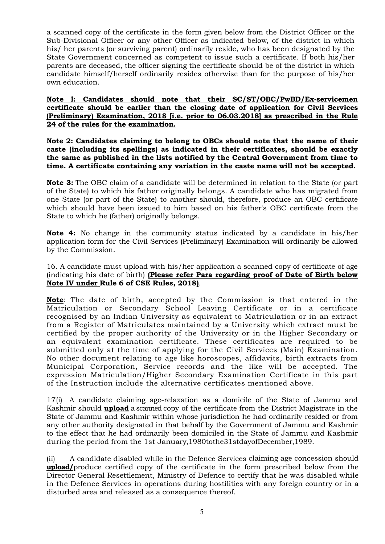a scanned copy of the certificate in the form given below from the District Officer or the Sub-Divisional Officer or any other Officer as indicated below, of the district in which his/ her parents (or surviving parent) ordinarily reside, who has been designated by the State Government concerned as competent to issue such a certificate. If both his/her parents are deceased, the officer signing the certificate should be of the district in which candidate himself/herself ordinarily resides otherwise than for the purpose of his/her own education.

Note l: Candidates should note that their SC/ST/OBC/PwBD/Ex-servicemen certificate should be earlier than the closing date of application for Civil Services (Preliminary) Examination, 2018 [i.e. prior to 06.03.2018] as prescribed in the Rule 24 of the rules for the examination.

Note 2: Candidates claiming to belong to OBCs should note that the name of their caste (including its spellings) as indicated in their certificates, should be exactly the same as published in the lists notified by the Central Government from time to time. A certificate containing any variation in the caste name will not be accepted.

Note 3: The OBC claim of a candidate will be determined in relation to the State (or part of the State) to which his father originally belongs. A candidate who has migrated from one State (or part of the State) to another should, therefore, produce an OBC certificate which should have been issued to him based on his father's OBC certificate from the State to which he (father) originally belongs.

Note 4: No change in the community status indicated by a candidate in his/her application form for the Civil Services (Preliminary) Examination will ordinarily be allowed by the Commission.

16. A candidate must upload with his/her application a scanned copy of certificate of age (indicating his date of birth) (Please refer Para regarding proof of Date of Birth below Note IV under Rule 6 of CSE Rules, 2018).

Note: The date of birth, accepted by the Commission is that entered in the Matriculation or Secondary School Leaving Certificate or in a certificate recognised by an Indian University as equivalent to Matriculation or in an extract from a Register of Matriculates maintained by a University which extract must be certified by the proper authority of the University or in the Higher Secondary or an equivalent examination certificate. These certificates are required to be submitted only at the time of applying for the Civil Services (Main) Examination. No other document relating to age like horoscopes, affidavits, birth extracts from Municipal Corporation, Service records and the like will be accepted. The expression Matriculation/Higher Secondary Examination Certificate in this part of the Instruction include the alternative certificates mentioned above.

17(i) A candidate claiming age-relaxation as a domicile of the State of Jammu and Kashmir should upload a scanned copy of the certificate from the District Magistrate in the State of Jammu and Kashmir within whose jurisdiction he had ordinarily resided or from any other authority designated in that behalf by the Government of Jammu and Kashmir to the effect that he had ordinarily been domiciled in the State of Jammu and Kashmir during the period from the 1st January,1980tothe31stdayofDecember,1989.

(ii) A candidate disabled while in the Defence Services claiming age concession should upload/produce certified copy of the certificate in the form prescribed below from the Director General Resettlement, Ministry of Defence to certify that he was disabled while in the Defence Services in operations during hostilities with any foreign country or in a disturbed area and released as a consequence thereof.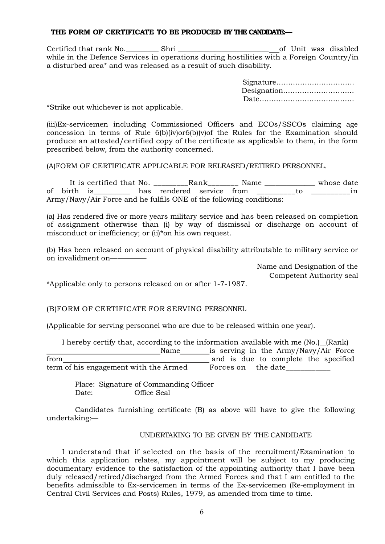#### THE FORM OF CERTIFICATE TO BE PRODUCED BY THE CANDIDATE-

Certified that rank No.\_\_\_\_\_\_\_\_\_ Shri \_\_\_\_\_\_\_\_\_\_\_\_\_\_\_\_\_\_\_\_\_\_\_\_\_ of Unit was disabled while in the Defence Services in operations during hostilities with a Foreign Country/in a disturbed area\* and was released as a result of such disability.

| Designation |  |
|-------------|--|
|             |  |

\*Strike out whichever is not applicable.

(iii)Ex-servicemen including Commissioned Officers and ECOs/SSCOs claiming age concession in terms of Rule  $6(b)(iv)$ or $6(b)(v)$ of the Rules for the Examination should produce an attested/certified copy of the certificate as applicable to them, in the form prescribed below, from the authority concerned.

(A)FORM OF CERTIFICATE APPLICABLE FOR RELEASED/RETIRED PERSONNEL.

It is certified that No. \_\_\_\_\_\_\_\_\_\_Rank\_\_\_\_\_\_\_\_\_ Name \_\_\_\_\_\_\_\_\_\_\_\_\_\_ whose date of birth is \_\_\_\_\_\_\_\_ has rendered service from \_\_\_\_\_\_\_\_\_\_to \_\_\_\_\_\_\_\_\_in Army/Navy/Air Force and he fulfils ONE of the following conditions:

(a) Has rendered five or more years military service and has been released on completion of assignment otherwise than (i) by way of dismissal or discharge on account of misconduct or inefficiency; or (ii)\*on his own request.

(b) Has been released on account of physical disability attributable to military service or on invalidment on—————

> Name and Designation of the Competent Authority seal

\*Applicable only to persons released on or after 1-7-1987.

(B)FORM OF CERTIFICATE FOR SERVING PERSONNEL

(Applicable for serving personnel who are due to be released within one year).

I hereby certify that, according to the information available with me (No.) (Rank) Name is serving in the Army/Navy/Air Force from and is due to complete the specified term of his engagement with the Armed Forces on the date

 Place: Signature of Commanding Officer Date: Office Seal

 Candidates furnishing certificate (B) as above will have to give the following undertaking:—

#### UNDERTAKING TO BE GIVEN BY THE CANDIDATE

I understand that if selected on the basis of the recruitment/Examination to which this application relates, my appointment will be subject to my producing documentary evidence to the satisfaction of the appointing authority that I have been duly released/retired/discharged from the Armed Forces and that I am entitled to the benefits admissible to Ex-servicemen in terms of the Ex-servicemen (Re-employment in Central Civil Services and Posts) Rules, 1979, as amended from time to time.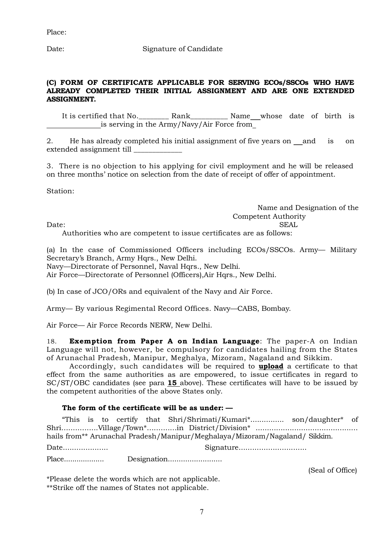Date: Signature of Candidate

#### (C) FORM OF CERTIFICATE APPLICABLE FOR SERVING ECOs/SSCOs WHO HAVE ALREADY COMPLETED THEIR INITIAL ASSIGNMENT AND ARE ONE EXTENDED ASSIGNMENT.

It is certified that No.\_\_\_\_\_\_\_\_ Rank\_\_\_\_\_\_\_\_\_\_ Name whose date of birth is is serving in the Army/Navy/Air Force from

2. He has already completed his initial assignment of five years on and is on extended assignment till \_\_\_\_\_\_\_\_\_\_\_\_\_

3. There is no objection to his applying for civil employment and he will be released on three months' notice on selection from the date of receipt of offer of appointment.

Station:

 Name and Designation of the Competent Authority

Date: SEAL

Authorities who are competent to issue certificates are as follows:

(a) In the case of Commissioned Officers including ECOs/SSCOs. Army— Military Secretary's Branch, Army Hqrs., New Delhi.

Navy—Directorate of Personnel, Naval Hors., New Delhi.

Air Force—Directorate of Personnel (Officers),Air Hqrs., New Delhi.

(b) In case of JCO/ORs and equivalent of the Navy and Air Force.

Army— By various Regimental Record Offices. Navy—CABS, Bombay.

Air Force— Air Force Records NERW, New Delhi.

18. Exemption from Paper A on Indian Language: The paper-A on Indian Language will not, however, be compulsory for candidates hailing from the States of Arunachal Pradesh, Manipur, Meghalya, Mizoram, Nagaland and Sikkim.

Accordingly, such candidates will be required to **upload** a certificate to that effect from the same authorities as are empowered, to issue certificates in regard to SC/ST/OBC candidates (see para 15 above). These certificates will have to be issued by the competent authorities of the above States only.

### The form of the certificate will be as under: —

"This is to certify that Shri/Shrimati/Kumari\*............... son/daughter\* of Shri................Village/Town\*.............in District/Division\* ............................................. hails from\*\* Arunachal Pradesh/Manipur/Meghalaya/Mizoram/Nagaland/ Sikkim.

Date.................... Signature..............................

Place................... Designation.........................

(Seal of Office)

\*Please delete the words which are not applicable. \*\*Strike off the names of States not applicable.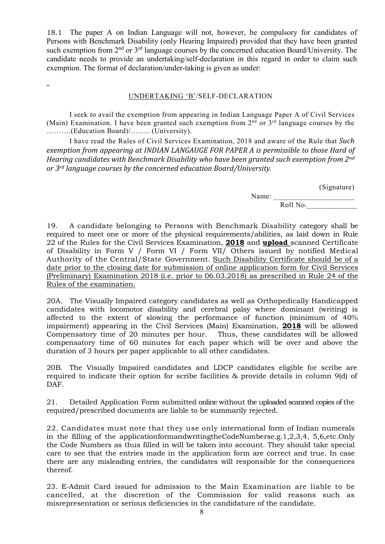18.1 The paper A on Indian Language will not, however, be compulsory for candidates of Persons with Benchmark Disability (only Hearing Impaired) provided that they have been granted such exemption from 2<sup>nd</sup> or 3<sup>rd</sup> language courses by the concerned education Board/University. The candidate needs to provide an undertaking/self-declaration in this regard in order to claim such exemption. The format of declaration/under-taking is given as under:

 $\epsilon$ 

#### UNDERTAKING 'B'/SELF-DECLARATION

 I seek to avail the exemption from appearing in Indian Language Paper A of Civil Services (Main) Examination. I have been granted such exemption from  $2<sup>nd</sup>$  or  $3<sup>rd</sup>$  language courses by the ……….(Education Board)/…….. (University).

 I have read the Rules of Civil Services Examination, 2018 and aware of the Rule that Such exemption from appearing at INDIAN LANGAUGE FOR PAPER A is permissible to those Hard of Hearing candidates with Benchmark Disability who have been granted such exemption from 2<sup>nd</sup> or 3rd language courses by the concerned education Board/University.

(Signature)

Name: \_\_\_\_\_\_\_\_\_\_\_\_\_\_\_\_\_\_\_\_\_

Roll No.\_\_\_\_\_\_\_\_\_\_\_\_\_

19. A candidate belonging to Persons with Benchmark Disability category shall be required to meet one or more of the physical requirements/abilities, as laid down in Rule 22 of the Rules for the Civil Services Examination, **2018** and **upload** scanned Certificate of Disability in Form V / Form VI / Form VII/ Others issued by notified Medical Authority of the Central/State Government. Such Disability Certificate should be of a date prior to the closing date for submission of online application form for Civil Services (Preliminary) Examination 2018 (i.e. prior to 06.03.2018) as prescribed in Rule 24 of the Rules of the examination.

20A. The Visually Impaired category candidates as well as Orthopedically Handicapped candidates with locomotor disability and cerebral palsy where dominant (writing) is affected to the extent of slowing the performance of function (minimum of 40% impairment) appearing in the Civil Services (Main) Examination, 2018 will be allowed Compensatory time of 20 minutes per hour. Thus, these candidates will be allowed compensatory time of 60 minutes for each paper which will be over and above the duration of 3 hours per paper applicable to all other candidates.

20B. The Visually Impaired candidates and LDCP candidates eligible for scribe are required to indicate their option for scribe facilities & provide details in column 9(d) of DAF.

21. Detailed Application Form submitted online without the uploaded scanned copies of the required/prescribed documents are liable to be summarily rejected.

22. Candidates must note that they use only international form of Indian numerals in the filling of the applicationformandwritingtheCodeNumberse.g.1,2,3,4, 5,6,etc.Only the Code Numbers as thus filled in will be taken into account. They should take special care to see that the entries made in the application form are correct and true. In case there are any misleading entries, the candidates will responsible for the consequences thereof.

23. E-Admit Card issued for admission to the Main Examination are liable to be cancelled, at the discretion of the Commission for valid reasons such as misrepresentation or serious deficiencies in the candidature of the candidate.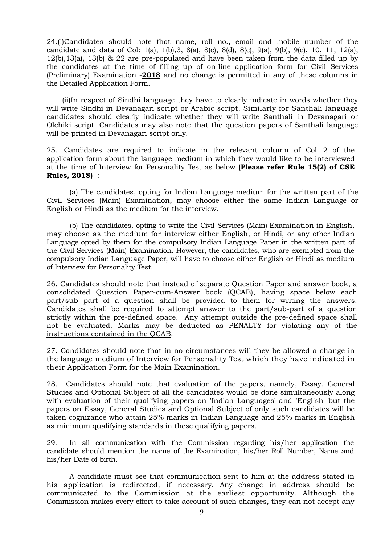24.(i)Candidates should note that name, roll no., email and mobile number of the candidate and data of Col: 1(a), 1(b),3, 8(a), 8(c), 8(d), 8(e), 9(a), 9(b), 9(c), 10, 11, 12(a), 12(b),13(a), 13(b) & 22 are pre-populated and have been taken from the data filled up by the candidates at the time of filling up of on-line application form for Civil Services (Preliminary) Examination -2018 and no change is permitted in any of these columns in the Detailed Application Form.

(ii)In respect of Sindhi language they have to clearly indicate in words whether they will write Sindhi in Devanagari script or Arabic script. Similarly for Santhali language candidates should clearly indicate whether they will write Santhali in Devanagari or Olchiki script. Candidates may also note that the question papers of Santhali language will be printed in Devanagari script only.

25. Candidates are required to indicate in the relevant column of Col.12 of the application form about the language medium in which they would like to be interviewed at the time of Interview for Personality Test as below (Please refer Rule 15(2) of CSE Rules, 2018) :-

(a) The candidates, opting for Indian Language medium for the written part of the Civil Services (Main) Examination, may choose either the same Indian Language or English or Hindi as the medium for the interview.

 (b) The candidates, opting to write the Civil Services (Main) Examination in English, may choose as the medium for interview either English, or Hindi, or any other Indian Language opted by them for the compulsory Indian Language Paper in the written part of the Civil Services (Main) Examination. However, the candidates, who are exempted from the compulsory Indian Language Paper, will have to choose either English or Hindi as medium of Interview for Personality Test.

26. Candidates should note that instead of separate Question Paper and answer book, a consolidated Question Paper-cum-Answer book (QCAB), having space below each part/sub part of a question shall be provided to them for writing the answers. Candidates shall be required to attempt answer to the part/sub-part of a question strictly within the pre-defined space. Any attempt outside the pre-defined space shall not be evaluated. Marks may be deducted as PENALTY for violating any of the instructions contained in the QCAB.

27. Candidates should note that in no circumstances will they be allowed a change in the language medium of Interview for Personality Test which they have indicated in their Application Form for the Main Examination.

28. Candidates should note that evaluation of the papers, namely, Essay, General Studies and Optional Subject of all the candidates would be done simultaneously along with evaluation of their qualifying papers on 'Indian Languages' and 'English' but the papers on Essay, General Studies and Optional Subject of only such candidates will be taken cognizance who attain 25% marks in Indian Language and 25% marks in English as minimum qualifying standards in these qualifying papers.

29. In all communication with the Commission regarding his/her application the candidate should mention the name of the Examination, his/her Roll Number, Name and his/her Date of birth.

A candidate must see that communication sent to him at the address stated in his application is redirected, if necessary. Any change in address should be communicated to the Commission at the earliest opportunity. Although the Commission makes every effort to take account of such changes, they can not accept any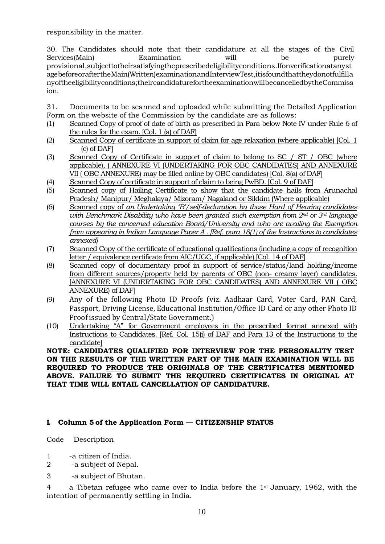responsibility in the matter.

30. The Candidates should note that their candidature at all the stages of the Civil Services(Main) Examination will be purely provisional,subjecttotheirsatisfyingtheprescribedeligibilityconditions.Ifonverificationatanyst agebeforeoraftertheMain(Written)examinationandInterviewTest,itisfoundthattheydonotfulfilla nyoftheeligibilityconditions;theircandidaturefortheexaminationwillbecancelledbytheCommiss ion.

31. Documents to be scanned and uploaded while submitting the Detailed Application Form on the website of the Commission by the candidate are as follows:

- (1) Scanned Copy of proof of date of birth as prescribed in Para below Note IV under Rule 6 of the rules for the exam. [Col. 1 (a) of DAF]
- (2) Scanned Copy of certificate in support of claim for age relaxation (where applicable) [Col. 1 (c) of DAF]
- (3) Scanned Copy of Certificate in support of claim to belong to SC / ST / OBC (where applicable), ( ANNEXURE VI (UNDERTAKING FOR OBC CANDIDATES) AND ANNEXURE VII ( OBC ANNEXURE) may be filled online by OBC candidates) [Col. 8(a) of DAF]
- (4) Scanned Copy of certificate in support of claim to being PwBD. [Col. 9 of DAF]
- (5) Scanned copy of Hailing Certificate to show that the candidate hails from Arunachal Pradesh/ Manipur/ Meghalaya/ Mizoram/ Nagaland or Sikkim (Where applicable)
- (6) Scanned copy of an Undertaking 'B'/self-declaration by those Hard of Hearing candidates with Benchmark Disability who have been granted such exemption from  $2<sup>nd</sup>$  or  $3<sup>nd</sup>$  language courses by the concerned education Board/University and who are availing the Exemption from appearing in Indian Language Paper A . [Ref. para 18(1) of the Instructions to candidates annexed]
- (7) Scanned Copy of the certificate of educational qualifications (including a copy of recognition letter / equivalence certificate from AIC/UGC, if applicable) [Col. 14 of DAF]
- (8) Scanned copy of documentary proof in support of service/status/land holding/income from different sources/property held by parents of OBC (non- creamy layer) candidates. [ANNEXURE VI (UNDERTAKING FOR OBC CANDIDATES) AND ANNEXURE VII ( OBC ANNEXURE) of DAF]
- (9) Any of the following Photo ID Proofs (viz. Aadhaar Card, Voter Card, PAN Card, Passport, Driving License, Educational Institution/Office ID Card or any other Photo ID Proof issued by Central/State Government.)
- (10) Undertaking "A" for Government employees in the prescribed format annexed with Instructions to Candidates. [Ref. Col. 15(i) of DAF and Para 13 of the Instructions to the candidate]

NOTE: CANDIDATES QUALIFIED FOR INTERVIEW FOR THE PERSONALITY TEST ON THE RESULTS OF THE WRITTEN PART OF THE MAIN EXAMINATION WILL BE REQUIRED TO PRODUCE THE ORIGINALS OF THE CERTIFICATES MENTIONED ABOVE. FAILURE TO SUBMIT THE REQUIRED CERTIFICATES IN ORIGINAL AT THAT TIME WILL ENTAIL CANCELLATION OF CANDIDATURE.

#### I. Column 5 of the Application Form — CITIZENSHIP STATUS

Code Description

- 1 -a citizen of India.
- 2 -a subject of Nepal.
- 3 -a subject of Bhutan.

4 a Tibetan refugee who came over to India before the 1st January, 1962, with the intention of permanently settling in India.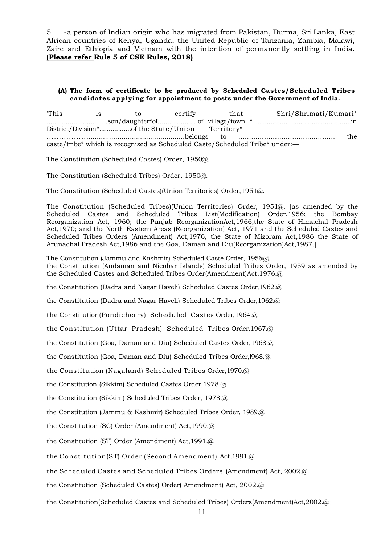5 -a person of Indian origin who has migrated from Pakistan, Burma, Sri Lanka, East African countries of Kenya, Uganda, the United Republic of Tanzania, Zambia, Malawi, Zaire and Ethiopia and Vietnam with the intention of permanently settling in India. (Please refer Rule 5 of CSE Rules, 2018)

#### (A) The form of certificate to be produced by Scheduled Castes/Scheduled Tribes candidates applying for appointment to posts under the Government of India.

| 'This                                                                        | $\overline{18}$ | to. | certify | that |  | Shri/Shrimati/Kumari* |       |
|------------------------------------------------------------------------------|-----------------|-----|---------|------|--|-----------------------|-------|
|                                                                              |                 |     |         |      |  |                       |       |
|                                                                              |                 |     |         |      |  |                       |       |
|                                                                              |                 |     |         |      |  |                       | the : |
| caste/tribe* which is recognized as Scheduled Caste/Scheduled Tribe* under:— |                 |     |         |      |  |                       |       |

The Constitution (Scheduled Castes) Order, 1950@.

The Constitution (Scheduled Tribes) Order, 1950@.

The Constitution (Scheduled Castes)(Union Territories) Order,1951@.

The Constitution (Scheduled Tribes)(Union Territories) Order, 1951@. [as amended by the Scheduled Castes and Scheduled Tribes List(Modification) Order,1956; the Bombay Reorganization Act, 1960; the Punjab ReorganizationAct,1966;the State of Himachal Pradesh Act,1970; and the North Eastern Areas (Reorganization) Act, 1971 and the Scheduled Castes and Scheduled Tribes Orders (Amendment) Act,1976, the State of Mizoram Act,1986 the State of Arunachal Pradesh Act,1986 and the Goa, Daman and Diu(Reorganization)Act,1987.]

The Constitution (Jammu and Kashmir) Scheduled Caste Order, 1956(@. the Constitution (Andaman and Nicobar Islands) Scheduled Tribes Order, 1959 as amended by the Scheduled Castes and Scheduled Tribes Order(Amendment)Act,1976.@

the Constitution (Dadra and Nagar Haveli) Scheduled Castes Order,1962.@

the Constitution (Dadra and Nagar Haveli) Scheduled Tribes Order,1962.@

the Constitution(Pondicherry) Scheduled Castes Order,1964.@

the Constitution (Uttar Pradesh) Scheduled Tribes Order,1967.@

the Constitution (Goa, Daman and Diu) Scheduled Castes Order,1968.@

the Constitution (Goa, Daman and Diu) Scheduled Tribes Order,l968.@.

the Constitution (Nagaland) Scheduled Tribes Order,1970.@

the Constitution (Sikkim) Scheduled Castes Order,1978.@

the Constitution (Sikkim) Scheduled Tribes Order, 1978.@

the Constitution (Jammu & Kashmir) Scheduled Tribes Order, 1989.@

the Constitution (SC) Order (Amendment) Act,1990.@

the Constitution (ST) Order (Amendment) Act,1991.@

the Constitution(ST) Order (Second Amendment) Act,1991.@

the Scheduled Castes and Scheduled Tribes Orders (Amendment) Act, 2002.@

the Constitution (Scheduled Castes) Order( Amendment) Act, 2002.@

the Constitution(Scheduled Castes and Scheduled Tribes) Orders(Amendment)Act,2002.@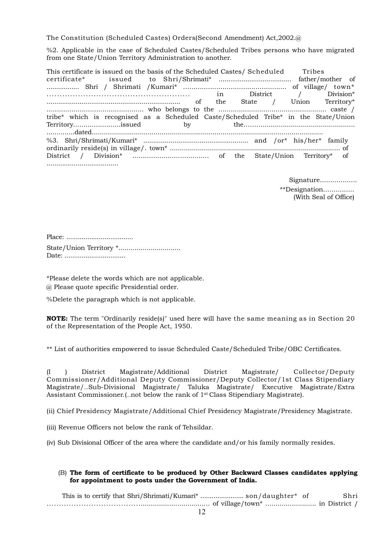The Constitution (Scheduled Castes) Orders(Second Amendment) Act,2002.@

%2. Applicable in the case of Scheduled Castes/Scheduled Tribes persons who have migrated from one State/Union Territory Administration to another.

This certificate is issued on the basis of the Scheduled Castes/ Scheduled Tribes certificate\* issued to Shri/Shrimati\* ...................................... father/mother of ................. Shri / Shrimati /Kumari\* .................................................. of village/ town\* ....................................................... in District / Division\* ..................................................................... of the State / Union Territory\* ............................................... who belongs to the ….................................................. caste / tribe\* which is recognised as a Scheduled Caste/Scheduled Tribe\* in the State/Union Territory.......................issued by the……….............................................. ..............dated..................................................................................................................... %3. Shri/Shrimati/Kumari\* ...................................................... and /or\* his/her\* family ordinarily reside(s) in village/. town\* ..................................................................................... of District / Division\* ..................................... of the State/Union Territory\* of .....................................

> Signature................... \*\*Designation............... (With Seal of Office)

Place: ................................... State/Union Territory \*............................... Date: ................................

\*Please delete the words which are not applicable. @ Please quote specific Presidential order.

%Delete the paragraph which is not applicable.

NOTE: The term "Ordinarily reside(s)" used here will have the same meaning as in Section 20 of the Representation of the People Act, 1950.

\*\* List of authorities empowered to issue Scheduled Caste/Scheduled Tribe/OBC Certificates.

(I ) District Magistrate/Additional District Magistrate/ Collector/Deputy Commissioner/Additional Deputy Commissioner/Deputy Collector/1st Class Stipendiary Magistrate/…Sub-Divisional Magistrate/ Taluka Magistrate/ Executive Magistrate/Extra Assistant Commissioner.(…not below the rank of 1st Class Stipendiary Magistrate).

(ii) Chief Presidency Magistrate/Additional Chief Presidency Magistrate/Presidency Magistrate.

(iii) Revenue Officers not below the rank of Tehsildar.

(iv) Sub Divisional Officer of the area where the candidate and/or his family normally resides.

#### (B) The form of certificate to be produced by Other Backward Classes candidates applying for appointment to posts under the Government of India.

This is to certify that Shri/Shrimati/Kumari\* ....................... son/daughter\* of Shri ........................................................................ of village/town\* ......................... in District /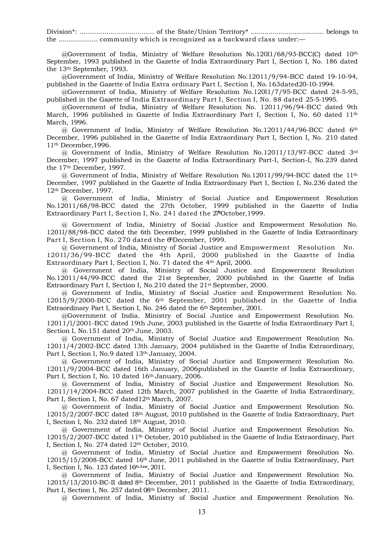Division\*: .................................... of the State/Union Territory\* ..................................... belongs to the .................... community which is recognized as a backward class under:—

 $@G$ overnment of India, Ministry of Welfare Resolution No.12011/68/93-BCC(C) dated 10<sup>th</sup> September, 1993 published in the Gazette of India Extraordinary Part I, Section I, No. 186 dated the 13th September, 1993.

@Government of India, Ministry of Welfare Resolution No.12011/9/94-BCC dated 19-10-94, published in the Gazette of India Extra ordinary Part I, Section I, No.163dated20-10-1994.

@Government of India, Ministry of Welfare Resolution No.120l1/7/95-BCC dated 24-5-95, published in the Gazette of India Extraordinary Part I, Section I, No. 88 dated 25-5-1995.

@Government of India, Ministry of Welfare Resolution No. 12011/96/94-BCC dated 9th March, 1996 published in Gazette of India Extraordinary Part I, Section I, No. 60 dated 11th March, 1996.

@ Government of India, Ministry of Welfare Resolution No.12011/44/96-BCC dated 6th December, 1996 published in the Gazette of India Extraordinary Part I, Section I, No. 210 dated 11th December,1996.

@ Government of India, Ministry of Welfare Resolution No.12011/13/97-BCC dated 3rd December, 1997 published in the Gazette of India Extraordinary Part-I, Section-I, No.239 dated the 17th December, 1997.

 $\omega$  Government of India, Ministry of Welfare Resolution No.12011/99/94-BCC dated the 11<sup>th</sup> December, 1997 published in the Gazette of India Extraordinary Part I, Section I, No.236 dated the 12th December, 1997.

@ Government of India, Ministry of Social Justice and Empowerment Resolution No.12011/68/98-BCC dated the 27th October, 1999 published in the Gazette of India Extraordinary Part I, Section I, No. 241 dated the 27 October, 1999.

@ Government of India, Ministry of Social Justice and Empowerment Resolution No. 1201l/88/98-BCC dated the 6th December, 1999 published in the Gazette of India Extraordinary Part I, Section I, No. 270 dated the 6December, 1999.

@ Government of India, Ministry of Social Justice and Empowerment Resolution No. 1201l/36/99-BCC dated the 4th April, 2000 published in the Gazette of India Extraordinary Part I, Section I, No. 71 dated the 4th April, 2000.

@ Government of India, Ministry of Social Justice and Empowerment Resolution No.12011/44/99-BCC dated the 21st September, 2000 published in the Gazette of India Extraordinary Part I, Section I, No.210 dated the 21st September, 2000.

@ Government of India, Ministry of Social Justice and Empowerment Resolution No. 12015/9/2000-BCC dated the 6th September, 2001 published in the Gazette of India Extraordinary Part I, Section I, No. 246 dated the 6th September, 2001.

@Government of India. Ministry of Social Justice and Empowerment Resolution No. 12011/l/2001-BCC dated 19th June, 2003 published in the Gazette of India Extraordinary Part I, Section I, No.151 dated 20<sup>th</sup> June, 2003.

@ Government of India, Ministry of Social Justice and Empowerment Resolution No. 12011/4/2002-BCC dated 13th January, 2004 published in the Gazette of India Extraordinary, Part I, Section I, No.9 dated 13<sup>th</sup> January, 2004.

@ Government of India, Ministry of Social Justice and Empowerment Resolution No. 12011/9/2004-BCC dated 16th January, 2006published in the Gazette of India Extraordinary, Part I, Section I, No. 10 dated 16th January, 2006.

@ Government of India, Ministry of Social Justice and Empowerment Resolution No. 12011/14/2004-BCC dated 12th March, 2007 published in the Gazette of India Extraordinary, Part I, Section I, No. 67 dated 12<sup>th</sup> March, 2007.

@ Government of India, Ministry of Social Justice and Empowerment Resolution No. 12015/2/2007-BCC dated 18th August, 2010 published in the Gazette of India Extraordinary, Part I, Section I, No. 232 dated 18th August, 2010.

@ Government of India, Ministry of Social Justice and Empowerment Resolution No. 12015/2/2007-BCC dated 11th October, 2010 published in the Gazette of India Extraordinary, Part I, Section I, No. 274 dated 12th October, 2010.

@ Government of India, Ministry of Social Justice and Empowerment Resolution No. 12015/15/2008-BCC dated 16th June, 2011 published in the Gazette of India Extraordinary, Part I, Section I, No. 123 dated 16th June, 2011.

@ Government of India, Ministry of Social Justice and Empowerment Resolution No. 12015/13/2010-BC-II dated 8th December, 2011 published in the Gazette of India Extraordinary, Part I, Section I, No. 257 dated 08th December, 2011.

@ Government of India, Ministry of Social Justice and Empowerment Resolution No.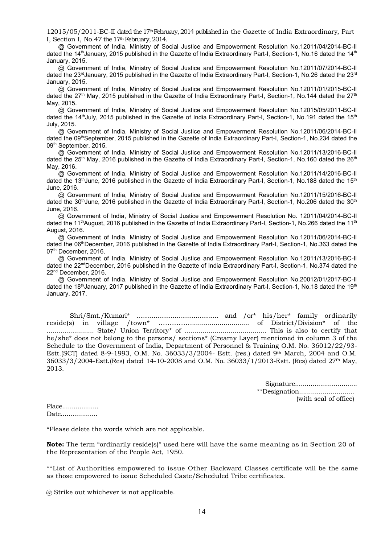12015/05/2011-BC-II dated the 17th February, 2014 published in the Gazette of India Extraordinary, Part I, Section I, No.47 the 17<sup>th</sup> February, 2014.

 @ Government of India, Ministry of Social Justice and Empowerment Resolution No.12011/04/2014-BC-II dated the 14<sup>th</sup> January, 2015 published in the Gazette of India Extraordinary Part-I, Section-1, No.16 dated the 14<sup>th</sup> January, 2015.

 @ Government of India, Ministry of Social Justice and Empowerment Resolution No.12011/07/2014-BC-II dated the 23<sup>rd</sup>January, 2015 published in the Gazette of India Extraordinary Part-I, Section-1, No.26 dated the 23<sup>rd</sup> January, 2015.

 @ Government of India, Ministry of Social Justice and Empowerment Resolution No.12011/01/2015-BC-II dated the  $27<sup>th</sup>$  May, 2015 published in the Gazette of India Extraordinary Part-I, Section-1, No.144 dated the  $27<sup>th</sup>$ May, 2015.

 @ Government of India, Ministry of Social Justice and Empowerment Resolution No.12015/05/2011-BC-II dated the 14<sup>th</sup>July, 2015 published in the Gazette of India Extraordinary Part-I, Section-1, No.191 dated the 15<sup>th</sup> July, 2015.

 @ Government of India, Ministry of Social Justice and Empowerment Resolution No.12011/06/2014-BC-II dated the 09th September, 2015 published in the Gazette of India Extraordinary Part-I, Section-1, No.234 dated the 09th September, 2015.

 @ Government of India, Ministry of Social Justice and Empowerment Resolution No.12011/13/2016-BC-II dated the 25<sup>th</sup> May, 2016 published in the Gazette of India Extraordinary Part-I, Section-1, No.160 dated the 26<sup>th</sup> May, 2016.

 @ Government of India, Ministry of Social Justice and Empowerment Resolution No.12011/14/2016-BC-II dated the 13<sup>th</sup>June, 2016 published in the Gazette of India Extraordinary Part-I, Section-1, No.188 dated the 15<sup>th</sup> June, 2016.

 @ Government of India, Ministry of Social Justice and Empowerment Resolution No.12011/15/2016-BC-II dated the 30<sup>th</sup>June, 2016 published in the Gazette of India Extraordinary Part-I, Section-1, No.206 dated the 30<sup>th</sup> June, 2016.

 @ Government of India, Ministry of Social Justice and Empowerment Resolution No. 12011/04/2014-BC-II dated the 11<sup>th</sup>August, 2016 published in the Gazette of India Extraordinary Part-I, Section-1, No.266 dated the 11<sup>th</sup> August, 2016.

 @ Government of India, Ministry of Social Justice and Empowerment Resolution No.12011/06/2014-BC-II dated the 06<sup>th</sup>December, 2016 published in the Gazette of India Extraordinary Part-I, Section-1, No.363 dated the 07<sup>th</sup> December, 2016.

 @ Government of India, Ministry of Social Justice and Empowerment Resolution No.12011/13/2016-BC-II dated the 22<sup>nd</sup>December, 2016 published in the Gazette of India Extraordinary Part-I, Section-1, No.374 dated the 22nd December, 2016.

 @ Government of India, Ministry of Social Justice and Empowerment Resolution No.20012/01/2017-BC-II dated the 18<sup>th</sup>January, 2017 published in the Gazette of India Extraordinary Part-I, Section-1, No.18 dated the 19<sup>th</sup> January, 2017.

Shri/Smt./Kumari\* ........................................... and /or\* his/her\* family ordinarily reside(s) in village /town\* ............................................ of District/Division\* of the ........................ State/ Union Territory\* of ......................................... This is also to certify that he/she\* does not belong to the persons/ sections\* (Creamy Layer) mentioned in column 3 of the Schedule to the Government of India, Department of Personnel & Training O.M. No. 36012/22/93- Estt.(SCT) dated 8-9-1993, O.M. No. 36033/3/2004- Estt. (res.) dated 9th March, 2004 and O.M. 36033/3/2004-Estt.(Res) dated 14-10-2008 and O.M. No. 36033/1/2013-Estt. (Res) dated 27th May, 2013.

> Signature................................ \*\*Designation............................ (with seal of office)

Place................... Date...................

\*Please delete the words which are not applicable.

Note: The term "ordinarily reside(s)" used here will have the same meaning as in Section 20 of the Representation of the People Act, 1950.

\*\*List of Authorities empowered to issue Other Backward Classes certificate will be the same as those empowered to issue Scheduled Caste/Scheduled Tribe certificates.

@ Strike out whichever is not applicable.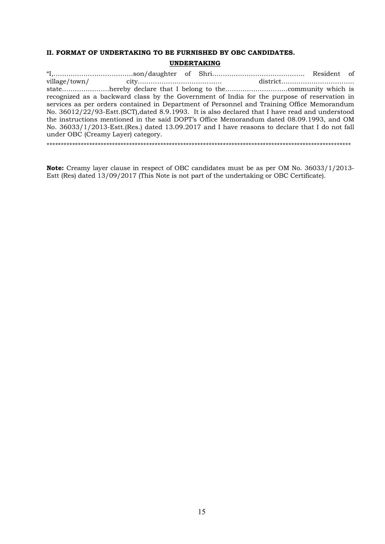## II. FORMAT OF UNDERTAKING TO BE FURNISHED BY OBC CANDIDATES. UNDERTAKING

"I,……………………………….son/daughter of Shri……………………………………. Resident of village/town/ city………………………………… district……….…….…………….. state………………….hereby declare that I belong to the………………………..community which is recognized as a backward class by the Government of India for the purpose of reservation in services as per orders contained in Department of Personnel and Training Office Memorandum No. 36012/22/93-Estt.(SCT),dated 8.9.1993. It is also declared that I have read and understood the instructions mentioned in the said DOPT's Office Memorandum dated 08.09.1993, and OM No. 36033/1/2013-Estt.(Res.) dated 13.09.2017 and I have reasons to declare that I do not fall under OBC (Creamy Layer) category.

\*\*\*\*\*\*\*\*\*\*\*\*\*\*\*\*\*\*\*\*\*\*\*\*\*\*\*\*\*\*\*\*\*\*\*\*\*\*\*\*\*\*\*\*\*\*\*\*\*\*\*\*\*\*\*\*\*\*\*\*\*\*\*\*\*\*\*\*\*\*\*\*\*\*\*\*\*\*\*\*\*\*\*\*\*\*\*\*\*\*\*\*\*\*\*\*\*\*\*\*\*\*\*\*\*\*\*

Note: Creamy layer clause in respect of OBC candidates must be as per OM No. 36033/1/2013- Estt (Res) dated 13/09/2017 (This Note is not part of the undertaking or OBC Certificate).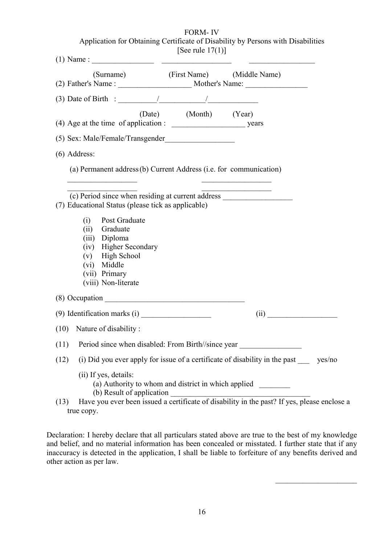| <b>FORM-IV</b>                                                                                                                                                                                                                                                                                                                                                                                                    |
|-------------------------------------------------------------------------------------------------------------------------------------------------------------------------------------------------------------------------------------------------------------------------------------------------------------------------------------------------------------------------------------------------------------------|
| Application for Obtaining Certificate of Disability by Persons with Disabilities<br>[See rule $17(1)$ ]                                                                                                                                                                                                                                                                                                           |
|                                                                                                                                                                                                                                                                                                                                                                                                                   |
| (Surname) (First Name) (Middle Name)                                                                                                                                                                                                                                                                                                                                                                              |
|                                                                                                                                                                                                                                                                                                                                                                                                                   |
| (Date) (Month) (Year)                                                                                                                                                                                                                                                                                                                                                                                             |
|                                                                                                                                                                                                                                                                                                                                                                                                                   |
| $(6)$ Address:                                                                                                                                                                                                                                                                                                                                                                                                    |
| (a) Permanent address (b) Current Address (i.e. for communication)                                                                                                                                                                                                                                                                                                                                                |
|                                                                                                                                                                                                                                                                                                                                                                                                                   |
| (c) Period since when residing at current address ______________________________<br>(7) Educational Status (please tick as applicable)<br>(i) Post Graduate                                                                                                                                                                                                                                                       |
| (ii) Graduate                                                                                                                                                                                                                                                                                                                                                                                                     |
| (iii) Diploma<br>(iv) Higher Secondary                                                                                                                                                                                                                                                                                                                                                                            |
| <b>High School</b><br>(v)                                                                                                                                                                                                                                                                                                                                                                                         |
| (vi) Middle                                                                                                                                                                                                                                                                                                                                                                                                       |
| (vii) Primary<br>(viii) Non-literate                                                                                                                                                                                                                                                                                                                                                                              |
|                                                                                                                                                                                                                                                                                                                                                                                                                   |
| (9) Identification marks (i) $\frac{1}{\sqrt{1-\frac{1}{\sqrt{1-\frac{1}{\sqrt{1-\frac{1}{\sqrt{1-\frac{1}{\sqrt{1-\frac{1}{\sqrt{1-\frac{1}{\sqrt{1-\frac{1}{\sqrt{1-\frac{1}{\sqrt{1-\frac{1}{\sqrt{1-\frac{1}{\sqrt{1-\frac{1}{\sqrt{1-\frac{1}{\sqrt{1-\frac{1}{\sqrt{1-\frac{1}{\sqrt{1-\frac{1}{\sqrt{1-\frac{1}{\sqrt{1-\frac{1}{\sqrt{1-\frac{1}{\sqrt{1-\frac{1}{\sqrt{1-\frac{1}{\sqrt{1-\frac$<br>(ii) |
| Nature of disability:<br>(10)                                                                                                                                                                                                                                                                                                                                                                                     |
| Period since when disabled: From Birth//since year<br>(11)                                                                                                                                                                                                                                                                                                                                                        |
| (i) Did you ever apply for issue of a certificate of disability in the past<br>(12)<br>yes/no                                                                                                                                                                                                                                                                                                                     |
| (ii) If yes, details:<br>(a) Authority to whom and district in which applied<br>(b) Result of application                                                                                                                                                                                                                                                                                                         |
| (b) Result of application<br>Have you ever been issued a certificate of disability in the past? If yes, please enclose a<br>(13)                                                                                                                                                                                                                                                                                  |

true copy.

Declaration: I hereby declare that all particulars stated above are true to the best of my knowledge and belief, and no material information has been concealed or misstated. I further state that if any inaccuracy is detected in the application, I shall be liable to forfeiture of any benefits derived and other action as per law.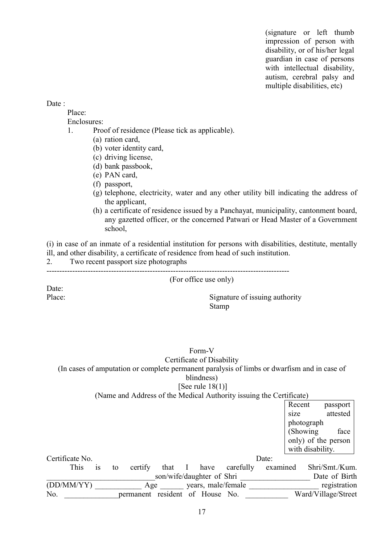(signature or left thumb impression of person with disability, or of his/her legal guardian in case of persons with intellectual disability, autism, cerebral palsy and multiple disabilities, etc)

#### Date :

Place:

Enclosures:

- 1. Proof of residence (Please tick as applicable).
	- (a) ration card,
	- (b) voter identity card,
	- (c) driving license,
	- (d) bank passbook,
	- (e) PAN card,
	- (f) passport,
	- (g) telephone, electricity, water and any other utility bill indicating the address of the applicant,
	- (h) a certificate of residence issued by a Panchayat, municipality, cantonment board, any gazetted officer, or the concerned Patwari or Head Master of a Government school,

(i) in case of an inmate of a residential institution for persons with disabilities, destitute, mentally ill, and other disability, a certificate of residence from head of such institution.

2. Two recent passport size photographs

----------------------------------------------------------------------------------------------

(For office use only)

Date:

Place: Signature of issuing authority Stamp

## Form-V Certificate of Disability (In cases of amputation or complete permanent paralysis of limbs or dwarfism and in case of blindness) [See rule  $18(1)$ ]

(Name and Address of the Medical Authority issuing the Certificate)

|                 |               |    |           |                           |              |                    |           |          | Recent     |                     | passport      |
|-----------------|---------------|----|-----------|---------------------------|--------------|--------------------|-----------|----------|------------|---------------------|---------------|
|                 |               |    |           |                           |              |                    |           |          | size       |                     | attested      |
|                 |               |    |           |                           |              |                    |           |          | photograph |                     |               |
|                 |               |    |           |                           |              |                    |           |          | (Showing)  |                     | face          |
|                 |               |    |           |                           |              |                    |           |          |            | only) of the person |               |
|                 |               |    |           |                           |              |                    |           |          |            | with disability.    |               |
| Certificate No. |               |    |           |                           |              |                    |           | Date:    |            |                     |               |
| This            | <sup>is</sup> | to | certify   | that                      | $\mathbf{I}$ | have               | carefully | examined |            | Shri/Smt./Kum.      |               |
|                 |               |    |           | son/wife/daughter of Shri |              |                    |           |          |            |                     | Date of Birth |
| (DD/MM/YY)      |               |    | Age       |                           |              | years, male/female |           |          |            |                     | registration  |
| No.             |               |    | permanent | resident                  |              | of House No.       |           |          |            | Ward/Village/Street |               |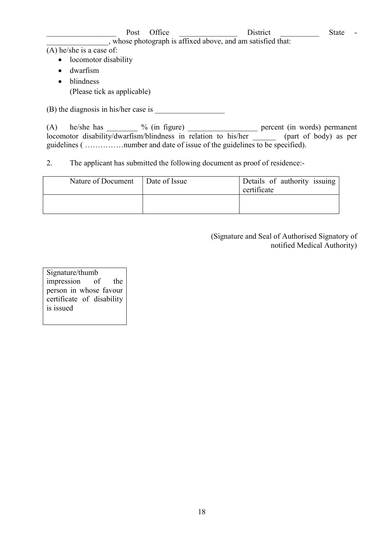## example of Post Office and District District State -\_\_\_\_\_\_\_\_\_\_\_\_\_\_\_\_, whose photograph is affixed above, and am satisfied that:

(A) he/she is a case of:

- locomotor disability
- dwarfism
- blindness
	- (Please tick as applicable)

 $(B)$  the diagnosis in his/her case is

(A) he/she has  $\%$  (in figure) percent (in words) permanent locomotor disability/dwarfism/blindness in relation to his/her \_\_\_\_\_\_ (part of body) as per guidelines ( ……………number and date of issue of the guidelines to be specified).

2. The applicant has submitted the following document as proof of residence:-

| Nature of Document | Date of Issue | Details of authority issuing<br>certificate |
|--------------------|---------------|---------------------------------------------|
|                    |               |                                             |

(Signature and Seal of Authorised Signatory of notified Medical Authority)

Signature/thumb impression of the person in whose favour certificate of disability is issued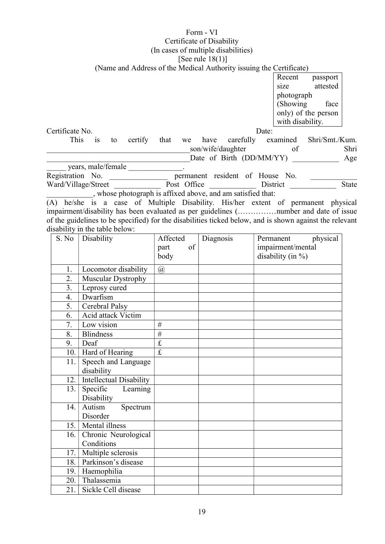## Form - VI

#### Certificate of Disability

(In cases of multiple disabilities)

## [See rule 18(1)]

(Name and Address of the Medical Authority issuing the Certificate)

| Recent              | passport |  |  |  |  |
|---------------------|----------|--|--|--|--|
| size                | attested |  |  |  |  |
| photograph          |          |  |  |  |  |
| (Showing            | face     |  |  |  |  |
| only) of the person |          |  |  |  |  |
| with disability.    |          |  |  |  |  |

Certificate No. Date:

| This is             |  |  |             |                                                             |                                 | to certify that we have carefully examined Shri/Smt./Kum.                 |
|---------------------|--|--|-------------|-------------------------------------------------------------|---------------------------------|---------------------------------------------------------------------------|
|                     |  |  |             | son/wife/daughter                                           | of                              | Shri                                                                      |
|                     |  |  |             | Date of Birth (DD/MM/YY)                                    |                                 | Age<br>$\mathcal{L} = \{ \mathcal{L} \mid \mathcal{L} \in \mathcal{L} \}$ |
| years, male/female  |  |  |             |                                                             |                                 |                                                                           |
| Registration No.    |  |  |             |                                                             | permanent resident of House No. |                                                                           |
| Ward/Village/Street |  |  | Post Office |                                                             | District                        | State                                                                     |
|                     |  |  |             | , whose photograph is affixed above, and am satisfied that: |                                 |                                                                           |

(A) he/she is a case of Multiple Disability. His/her extent of permanent physical impairment/disability has been evaluated as per guidelines (……………number and date of issue of the guidelines to be specified) for the disabilities ticked below, and is shown against the relevant disability in the table below:

| S. No | Disability                     | Affected                | Diagnosis | physical<br>Permanent |
|-------|--------------------------------|-------------------------|-----------|-----------------------|
|       |                                | of<br>part              |           | impairment/mental     |
|       |                                | body                    |           | disability (in $\%$ ) |
| 1.    | Locomotor disability           | $\circleda$             |           |                       |
| 2.    | Muscular Dystrophy             |                         |           |                       |
| 3.    | Leprosy cured                  |                         |           |                       |
| 4.    | Dwarfism                       |                         |           |                       |
| 5.    | Cerebral Palsy                 |                         |           |                       |
| 6.    | <b>Acid attack Victim</b>      |                         |           |                       |
| 7.    | Low vision                     | $\#$                    |           |                       |
| 8.    | <b>Blindness</b>               | #                       |           |                       |
| 9.    | Deaf                           | $\mathbf f$             |           |                       |
| 10.   | Hard of Hearing                | $\overline{\mathbf{f}}$ |           |                       |
| 11.   | Speech and Language            |                         |           |                       |
|       | disability                     |                         |           |                       |
| 12.   | <b>Intellectual Disability</b> |                         |           |                       |
| 13.   | Specific<br>Learning           |                         |           |                       |
|       | Disability                     |                         |           |                       |
| 14.   | Autism<br>Spectrum             |                         |           |                       |
|       | Disorder                       |                         |           |                       |
| 15.   | Mental illness                 |                         |           |                       |
| 16.   | Chronic Neurological           |                         |           |                       |
|       | Conditions                     |                         |           |                       |
| 17.   | Multiple sclerosis             |                         |           |                       |
| 18.   | Parkinson's disease            |                         |           |                       |
| 19.   | Haemophilia                    |                         |           |                       |
| 20.   | Thalassemia                    |                         |           |                       |
| 21.   | Sickle Cell disease            |                         |           |                       |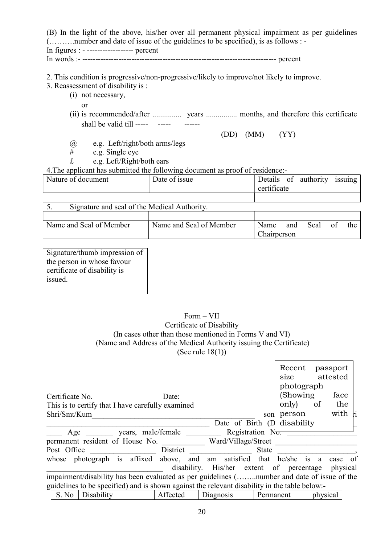| (B) In the light of the above, his/her over all permanent physical impairment as per guidelines<br>(number and date of issue of the guidelines to be specified), is as follows : -                                                                                                                                                                                                                                              |                                                                               |                                                 |  |  |  |  |  |  |
|---------------------------------------------------------------------------------------------------------------------------------------------------------------------------------------------------------------------------------------------------------------------------------------------------------------------------------------------------------------------------------------------------------------------------------|-------------------------------------------------------------------------------|-------------------------------------------------|--|--|--|--|--|--|
| In figures : $\overline{\phantom{a}}$ - $\overline{\phantom{a}}$ - $\overline{\phantom{a}}$ - $\overline{\phantom{a}}$ - $\overline{\phantom{a}}$ - $\overline{\phantom{a}}$ - $\overline{\phantom{a}}$ - $\overline{\phantom{a}}$ - $\overline{\phantom{a}}$ - $\overline{\phantom{a}}$ - $\overline{\phantom{a}}$ - $\overline{\phantom{a}}$ - $\overline{\phantom{a}}$ - $\overline{\phantom{a}}$ - $\overline{\phantom{a}}$ |                                                                               |                                                 |  |  |  |  |  |  |
| 2. This condition is progressive/non-progressive/likely to improve/not likely to improve.<br>3. Reassessment of disability is :<br>(i) not necessary,<br>or                                                                                                                                                                                                                                                                     |                                                                               |                                                 |  |  |  |  |  |  |
| shall be valid till -----                                                                                                                                                                                                                                                                                                                                                                                                       |                                                                               |                                                 |  |  |  |  |  |  |
|                                                                                                                                                                                                                                                                                                                                                                                                                                 | (DD)                                                                          | (MM)<br>(YY)                                    |  |  |  |  |  |  |
| e.g. Left/right/both arms/legs<br>$^{\textregistered}$                                                                                                                                                                                                                                                                                                                                                                          |                                                                               |                                                 |  |  |  |  |  |  |
| $\#$<br>e.g. Single eye                                                                                                                                                                                                                                                                                                                                                                                                         |                                                                               |                                                 |  |  |  |  |  |  |
| £<br>e.g. Left/Right/both ears                                                                                                                                                                                                                                                                                                                                                                                                  |                                                                               |                                                 |  |  |  |  |  |  |
|                                                                                                                                                                                                                                                                                                                                                                                                                                 | 4. The applicant has submitted the following document as proof of residence:- |                                                 |  |  |  |  |  |  |
| Nature of document                                                                                                                                                                                                                                                                                                                                                                                                              | Date of issue                                                                 | Details of authority issuing<br>certificate     |  |  |  |  |  |  |
|                                                                                                                                                                                                                                                                                                                                                                                                                                 |                                                                               |                                                 |  |  |  |  |  |  |
| Signature and seal of the Medical Authority.<br>5.                                                                                                                                                                                                                                                                                                                                                                              |                                                                               |                                                 |  |  |  |  |  |  |
|                                                                                                                                                                                                                                                                                                                                                                                                                                 |                                                                               |                                                 |  |  |  |  |  |  |
| Name and Seal of Member                                                                                                                                                                                                                                                                                                                                                                                                         | Name and Seal of Member                                                       | of<br>Seal<br>Name<br>the<br>and<br>Chairperson |  |  |  |  |  |  |
|                                                                                                                                                                                                                                                                                                                                                                                                                                 |                                                                               |                                                 |  |  |  |  |  |  |

Signature/thumb impression of the person in whose favour certificate of disability is issued.

## Form – VII Certificate of Disability (In cases other than those mentioned in Forms V and VI) (Name and Address of the Medical Authority issuing the Certificate) (See rule 18(1))

|                                                                                               |                    |                                          |              | Recent<br>size | passport<br>attested |              |
|-----------------------------------------------------------------------------------------------|--------------------|------------------------------------------|--------------|----------------|----------------------|--------------|
|                                                                                               |                    |                                          |              | photograph     |                      |              |
| Certificate No.                                                                               | Date:              |                                          |              | (Showing)      |                      | face         |
| This is to certify that I have carefully examined                                             |                    |                                          |              | only)          | of                   | the          |
| Shri/Smt/Kum                                                                                  |                    |                                          | son          | person         |                      | with ri      |
|                                                                                               |                    | Date of Birth (D)                        |              | disability     |                      |              |
| Age                                                                                           | years, male/female | Registration No.                         |              |                |                      |              |
| permanent resident of House No.                                                               |                    | Ward/Village/Street                      |              |                |                      |              |
| Post Office                                                                                   | District           |                                          | <b>State</b> |                |                      |              |
| whose photograph is affixed above, and am satisfied that he/she is a                          |                    |                                          |              |                |                      | - of<br>case |
|                                                                                               |                    | disability. His/her extent of percentage |              |                |                      | physical     |
| impairment/disability has been evaluated as per guidelines (number and date of issue of the   |                    |                                          |              |                |                      |              |
| guidelines to be specified) and is shown against the relevant disability in the table below:- |                    |                                          |              |                |                      |              |
| S. No<br>Disability                                                                           | Affected           | Diagnosis                                | Permanent    |                | physical             |              |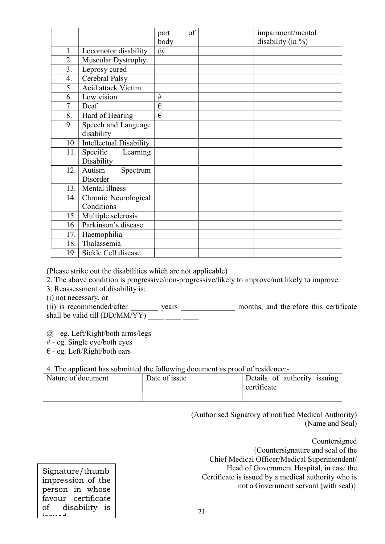|     |                                | part | of | impairment/mental     |
|-----|--------------------------------|------|----|-----------------------|
|     |                                | body |    | disability (in $\%$ ) |
| 1.  | Locomotor disability           | @    |    |                       |
| 2.  | Muscular Dystrophy             |      |    |                       |
| 3.  | Leprosy cured                  |      |    |                       |
| 4.  | Cerebral Palsy                 |      |    |                       |
| 5.  | Acid attack Victim             |      |    |                       |
| 6.  | Low vision                     | #    |    |                       |
| 7.  | Deaf                           | €    |    |                       |
| 8.  | Hard of Hearing                | €    |    |                       |
| 9.  | Speech and Language            |      |    |                       |
|     | disability                     |      |    |                       |
| 10. | <b>Intellectual Disability</b> |      |    |                       |
| 11. | Specific<br>Learning           |      |    |                       |
|     | Disability                     |      |    |                       |
| 12. | Autism<br>Spectrum             |      |    |                       |
|     | Disorder                       |      |    |                       |
| 13. | Mental illness                 |      |    |                       |
| 14. | Chronic Neurological           |      |    |                       |
|     | Conditions                     |      |    |                       |
| 15. | Multiple sclerosis             |      |    |                       |
| 16. | Parkinson's disease            |      |    |                       |
| 17. | Haemophilia                    |      |    |                       |
| 18. | Thalassemia                    |      |    |                       |
| 19. | Sickle Cell disease            |      |    |                       |

(Please strike out the disabilities which are not applicable)

2. The above condition is progressive/non-progressive/likely to improve/not likely to improve.

- 3. Reassessment of disability is:
- (i) not necessary, or

(ii) is recommended/after \_\_\_\_\_\_\_\_\_ years \_\_\_\_\_\_\_\_\_\_\_\_\_\_\_ months, and therefore this certificate shall be valid till  $(DD/MM/YY)$ 

 $(a)$  - eg. Left/Right/both arms/legs

- # eg. Single eye/both eyes
- $\epsilon$  eg. Left/Right/both ears

4. The applicant has submitted the following document as proof of residence:-

| .<br>Nature of document | Date of issue | Details of authority issuing<br>certificate |
|-------------------------|---------------|---------------------------------------------|
|                         |               |                                             |

(Authorised Signatory of notified Medical Authority) (Name and Seal)

> Countersigned {Countersignature and seal of the

Chief Medical Officer/Medical Superintendent/ Head of Government Hospital, in case the Certificate is issued by a medical authority who is not a Government servant (with seal)}

Signature/thumb impression of the person in whose favour certificate of disability is issued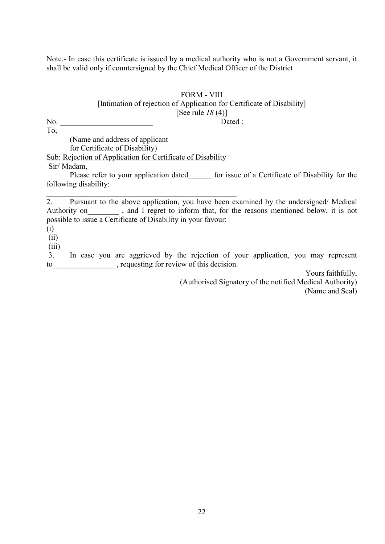Note.- In case this certificate is issued by a medical authority who is not a Government servant, it shall be valid only if countersigned by the Chief Medical Officer of the District

## FORM - VIII [Intimation of rejection of Application for Certificate of Disability] [See rule  $18(4)$ ] No. 2010 Dated :

To, (Name and address of applicant for Certificate of Disability) Sub: Rejection of Application for Certificate of Disability Sir/ Madam,

\_\_\_\_\_\_\_\_\_\_\_\_\_\_\_\_\_\_\_\_\_\_\_\_\_\_\_\_\_\_\_\_\_\_\_\_\_\_\_\_\_\_\_\_\_\_\_\_\_

Please refer to your application dated for issue of a Certificate of Disability for the following disability:

2. Pursuant to the above application, you have been examined by the undersigned/ Medical Authority on , and I regret to inform that, for the reasons mentioned below, it is not possible to issue a Certificate of Disability in your favour:

(i)

(ii)

 $(iii)$ 

 3. In case you are aggrieved by the rejection of your application, you may represent to\_\_\_\_\_\_\_\_\_\_\_\_\_\_\_\_ , requesting for review of this decision.

> Yours faithfully, (Authorised Signatory of the notified Medical Authority) (Name and Seal)